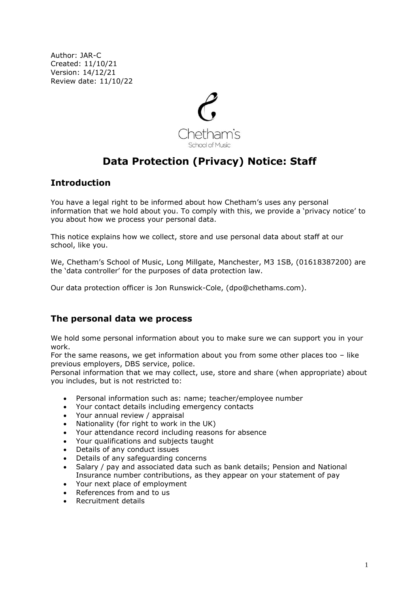Author: JAR-C Created: 11/10/21 Version: 14/12/21 Review date: 11/10/22



# **Data Protection (Privacy) Notice: Staff**

# **Introduction**

You have a legal right to be informed about how Chetham's uses any personal information that we hold about you. To comply with this, we provide a 'privacy notice' to you about how we process your personal data.

This notice explains how we collect, store and use personal data about staff at our school, like you.

We, Chetham's School of Music, Long Millgate, Manchester, M3 1SB, (01618387200) are the 'data controller' for the purposes of data protection law.

Our data protection officer is Jon Runswick-Cole, (dpo@chethams.com).

# **The personal data we process**

We hold some personal information about you to make sure we can support you in your work.

For the same reasons, we get information about you from some other places too – like previous employers, DBS service, police.

Personal information that we may collect, use, store and share (when appropriate) about you includes, but is not restricted to:

- Personal information such as: name; teacher/employee number
- Your contact details including emergency contacts
- Your annual review / appraisal
- Nationality (for right to work in the UK)
- Your attendance record including reasons for absence
- Your qualifications and subjects taught
- Details of any conduct issues
- Details of any safeguarding concerns
- Salary / pay and associated data such as bank details; Pension and National Insurance number contributions, as they appear on your statement of pay
- Your next place of employment
- References from and to us
- Recruitment details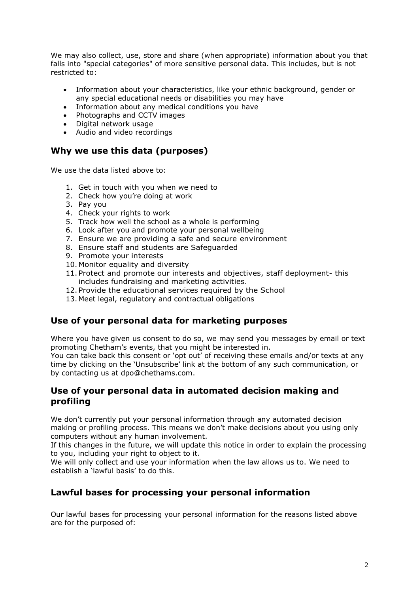We may also collect, use, store and share (when appropriate) information about you that falls into "special categories" of more sensitive personal data. This includes, but is not restricted to:

- Information about your characteristics, like your ethnic background, gender or any special educational needs or disabilities you may have
- Information about any medical conditions you have
- Photographs and CCTV images
- Digital network usage
- Audio and video recordings

### **Why we use this data (purposes)**

We use the data listed above to:

- 1. Get in touch with you when we need to
- 2. Check how you're doing at work
- 3. Pay you
- 4. Check your rights to work
- 5. Track how well the school as a whole is performing
- 6. Look after you and promote your personal wellbeing
- 7. Ensure we are providing a safe and secure environment
- 8. Ensure staff and students are Safeguarded
- 9. Promote your interests
- 10. Monitor equality and diversity
- 11. Protect and promote our interests and objectives, staff deployment- this includes fundraising and marketing activities.
- 12. Provide the educational services required by the School
- 13. Meet legal, regulatory and contractual obligations

### **Use of your personal data for marketing purposes**

Where you have given us consent to do so, we may send you messages by email or text promoting Chetham's events, that you might be interested in.

You can take back this consent or 'opt out' of receiving these emails and/or texts at any time by clicking on the 'Unsubscribe' link at the bottom of any such communication, or by contacting us at dpo@chethams.com.

### **Use of your personal data in automated decision making and profiling**

We don't currently put your personal information through any automated decision making or profiling process. This means we don't make decisions about you using only computers without any human involvement.

If this changes in the future, we will update this notice in order to explain the processing to you, including your right to object to it.

We will only collect and use your information when the law allows us to. We need to establish a 'lawful basis' to do this.

# **Lawful bases for processing your personal information**

Our lawful bases for processing your personal information for the reasons listed above are for the purposed of: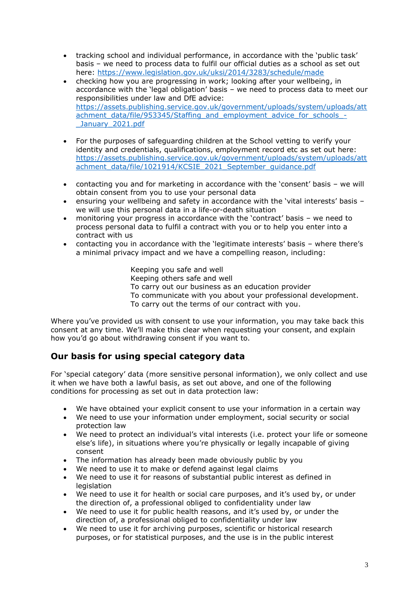- tracking school and individual performance, in accordance with the 'public task' basis – we need to process data to fulfil our official duties as a school as set out here: <https://www.legislation.gov.uk/uksi/2014/3283/schedule/made>
- checking how you are progressing in work; looking after your wellbeing, in accordance with the 'legal obligation' basis – we need to process data to meet our responsibilities under law and DfE advice: [https://assets.publishing.service.gov.uk/government/uploads/system/uploads/att](https://assets.publishing.service.gov.uk/government/uploads/system/uploads/attachment_data/file/953345/Staffing_and_employment_advice_for_schools_-_January_2021.pdf) [achment\\_data/file/953345/Staffing\\_and\\_employment\\_advice\\_for\\_schools\\_-](https://assets.publishing.service.gov.uk/government/uploads/system/uploads/attachment_data/file/953345/Staffing_and_employment_advice_for_schools_-_January_2021.pdf) January 2021.pdf
- For the purposes of safeguarding children at the School vetting to verify your identity and credentials, qualifications, employment record etc as set out here: [https://assets.publishing.service.gov.uk/government/uploads/system/uploads/att](https://assets.publishing.service.gov.uk/government/uploads/system/uploads/attachment_data/file/1021914/KCSIE_2021_September_guidance.pdf) [achment\\_data/file/1021914/KCSIE\\_2021\\_September\\_guidance.pdf](https://assets.publishing.service.gov.uk/government/uploads/system/uploads/attachment_data/file/1021914/KCSIE_2021_September_guidance.pdf)
- contacting you and for marketing in accordance with the 'consent' basis we will obtain consent from you to use your personal data
- ensuring your wellbeing and safety in accordance with the 'vital interests' basis we will use this personal data in a life-or-death situation
- monitoring your progress in accordance with the 'contract' basis we need to process personal data to fulfil a contract with you or to help you enter into a contract with us
- contacting you in accordance with the 'legitimate interests' basis where there's a minimal privacy impact and we have a compelling reason, including:

Keeping you safe and well Keeping others safe and well To carry out our business as an education provider To communicate with you about your professional development. To carry out the terms of our contract with you.

Where you've provided us with consent to use your information, you may take back this consent at any time. We'll make this clear when requesting your consent, and explain how you'd go about withdrawing consent if you want to.

# **Our basis for using special category data**

For 'special category' data (more sensitive personal information), we only collect and use it when we have both a lawful basis, as set out above, and one of the following conditions for processing as set out in data protection law:

- We have obtained your explicit consent to use your information in a certain way
- We need to use your information under employment, social security or social protection law
- We need to protect an individual's vital interests (i.e. protect your life or someone else's life), in situations where you're physically or legally incapable of giving consent
- The information has already been made obviously public by you
- We need to use it to make or defend against legal claims
- We need to use it for reasons of substantial public interest as defined in **legislation**
- We need to use it for health or social care purposes, and it's used by, or under the direction of, a professional obliged to confidentiality under law
- We need to use it for public health reasons, and it's used by, or under the direction of, a professional obliged to confidentiality under law
- We need to use it for archiving purposes, scientific or historical research purposes, or for statistical purposes, and the use is in the public interest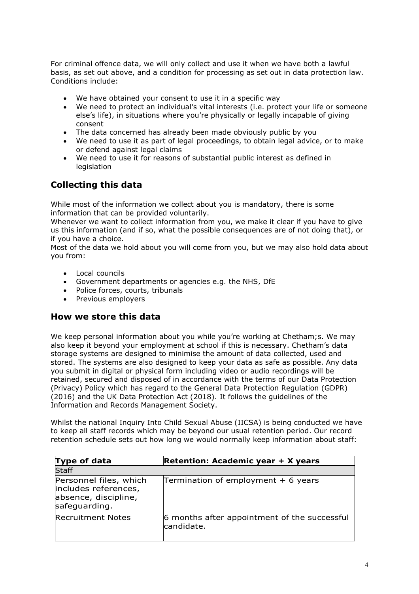For criminal offence data, we will only collect and use it when we have both a lawful basis, as set out above, and a condition for processing as set out in data protection law. Conditions include:

- We have obtained your consent to use it in a specific way
- We need to protect an individual's vital interests (i.e. protect your life or someone else's life), in situations where you're physically or legally incapable of giving consent
- The data concerned has already been made obviously public by you
- We need to use it as part of legal proceedings, to obtain legal advice, or to make or defend against legal claims
- We need to use it for reasons of substantial public interest as defined in **legislation**

# **Collecting this data**

While most of the information we collect about you is mandatory, there is some information that can be provided voluntarily.

Whenever we want to collect information from you, we make it clear if you have to give us this information (and if so, what the possible consequences are of not doing that), or if you have a choice.

Most of the data we hold about you will come from you, but we may also hold data about you from:

- Local councils
- Government departments or agencies e.g. the NHS, DfE
- Police forces, courts, tribunals
- Previous employers

#### **How we store this data**

We keep personal information about you while you're working at Chetham;s. We may also keep it beyond your employment at school if this is necessary. Chetham's data storage systems are designed to minimise the amount of data collected, used and stored. The systems are also designed to keep your data as safe as possible. Any data you submit in digital or physical form including video or audio recordings will be retained, secured and disposed of in accordance with the terms of our Data Protection (Privacy) Policy which has regard to the General Data Protection Regulation (GDPR) (2016) and the UK Data Protection Act (2018). It follows the guidelines of the Information and Records Management Society.

Whilst the national Inquiry Into Child Sexual Abuse (IICSA) is being conducted we have to keep all staff records which may be beyond our usual retention period. Our record retention schedule sets out how long we would normally keep information about staff:

| Type of data                                                                            | Retention: Academic year + X years                         |
|-----------------------------------------------------------------------------------------|------------------------------------------------------------|
| <b>Staff</b>                                                                            |                                                            |
| Personnel files, which<br>includes references,<br>absence, discipline,<br>safeguarding. | Termination of employment $+6$ years                       |
| <b>Recruitment Notes</b>                                                                | 6 months after appointment of the successful<br>candidate. |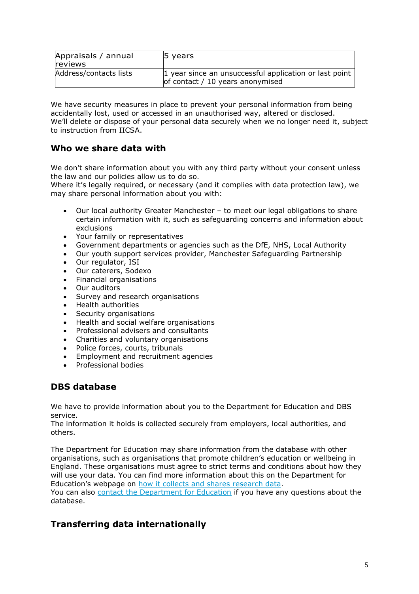| Appraisals / annual<br><b>reviews</b> | 5 years                                                                                    |
|---------------------------------------|--------------------------------------------------------------------------------------------|
| Address/contacts lists                | 1 year since an unsuccessful application or last point<br>of contact / 10 years anonymised |

We have security measures in place to prevent your personal information from being accidentally lost, used or accessed in an unauthorised way, altered or disclosed. We'll delete or dispose of your personal data securely when we no longer need it, subject to instruction from IICSA.

# **Who we share data with**

We don't share information about you with any third party without your consent unless the law and our policies allow us to do so.

Where it's legally required, or necessary (and it complies with data protection law), we may share personal information about you with:

- Our local authority Greater Manchester to meet our legal obligations to share certain information with it, such as safeguarding concerns and information about exclusions
- Your family or representatives<br>• Government departments or a
- Government departments or agencies such as the DfE, NHS, Local Authority
- Our youth support services provider, Manchester Safeguarding Partnership
- Our regulator, ISI
- Our caterers, Sodexo
- Financial organisations
- Our auditors
- Survey and research organisations
- Health authorities
- Security organisations
- Health and social welfare organisations
- Professional advisers and consultants
- Charities and voluntary organisations
- Police forces, courts, tribunals
- Employment and recruitment agencies
- Professional bodies

### **DBS database**

We have to provide information about you to the Department for Education and DBS service.

The information it holds is collected securely from employers, local authorities, and others.

The Department for Education may share information from the database with other organisations, such as organisations that promote children's education or wellbeing in England. These organisations must agree to strict terms and conditions about how they will use your data. You can find more information about this on the Department for Education's webpage on [how it collects and shares research data.](https://www.gov.uk/data-protection-how-we-collect-and-share-research-data) You can also [contact the Department for Education](https://www.gov.uk/contact-dfe) if you have any questions about the database.

# **Transferring data internationally**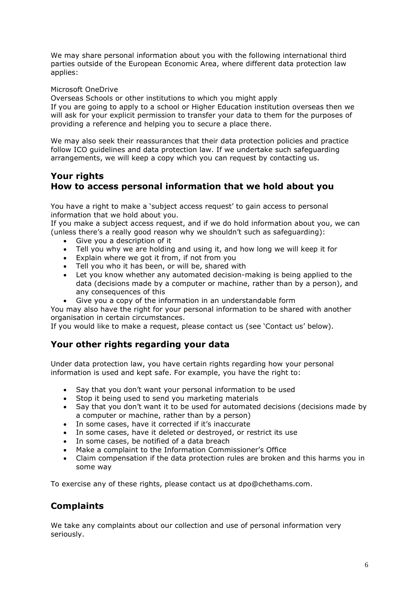We may share personal information about you with the following international third parties outside of the European Economic Area, where different data protection law applies:

#### Microsoft OneDrive

Overseas Schools or other institutions to which you might apply

If you are going to apply to a school or Higher Education institution overseas then we will ask for your explicit permission to transfer your data to them for the purposes of providing a reference and helping you to secure a place there.

We may also seek their reassurances that their data protection policies and practice follow ICO guidelines and data protection law. If we undertake such safeguarding arrangements, we will keep a copy which you can request by contacting us.

### **Your rights How to access personal information that we hold about you**

You have a right to make a 'subject access request' to gain access to personal information that we hold about you.

If you make a subject access request, and if we do hold information about you, we can (unless there's a really good reason why we shouldn't such as safeguarding):

- Give you a description of it
- Tell you why we are holding and using it, and how long we will keep it for
- Explain where we got it from, if not from you
- Tell you who it has been, or will be, shared with
- Let you know whether any automated decision-making is being applied to the data (decisions made by a computer or machine, rather than by a person), and any consequences of this
- Give you a copy of the information in an understandable form

You may also have the right for your personal information to be shared with another organisation in certain circumstances.

If you would like to make a request, please contact us (see 'Contact us' below).

### **Your other rights regarding your data**

Under data protection law, you have certain rights regarding how your personal information is used and kept safe. For example, you have the right to:

- Say that you don't want your personal information to be used
- Stop it being used to send you marketing materials
- Say that you don't want it to be used for automated decisions (decisions made by a computer or machine, rather than by a person)
- In some cases, have it corrected if it's inaccurate
- In some cases, have it deleted or destroyed, or restrict its use
- In some cases, be notified of a data breach
- Make a complaint to the Information Commissioner's Office
- Claim compensation if the data protection rules are broken and this harms you in some way

To exercise any of these rights, please contact us at dpo@chethams.com.

# **Complaints**

We take any complaints about our collection and use of personal information very seriously.